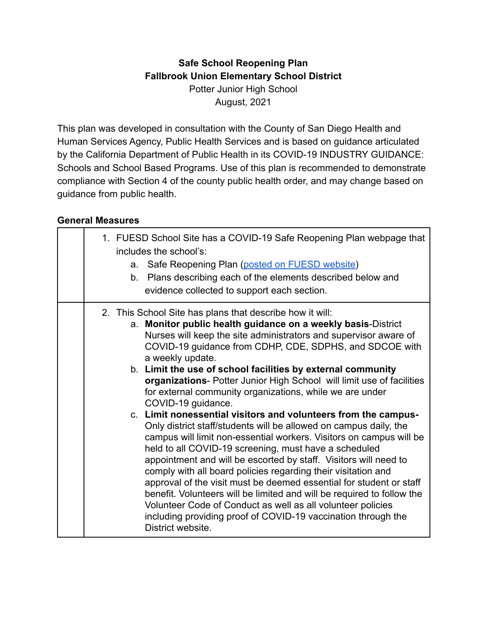# **Safe School Reopening Plan Fallbrook Union Elementary School District** Potter Junior High School August, 2021

This plan was developed in consultation with the County of San Diego Health and Human Services Agency, Public Health Services and is based on guidance articulated by the California Department of Public Health in its COVID-19 INDUSTRY GUIDANCE: Schools and School Based Programs. Use of this plan is recommended to demonstrate compliance with Section 4 of the county public health order, and may change based on guidance from public health.

#### **General Measures**

|  | 1. FUESD School Site has a COVID-19 Safe Reopening Plan webpage that<br>includes the school's:<br>a. Safe Reopening Plan (posted on FUESD website)<br>b. Plans describing each of the elements described below and<br>evidence collected to support each section.                                                                                                                                                                                                                                                                                                                                                                                                                                                                                                                                                                                                                                                                                                                                                                                                                                                                                                                                                       |
|--|-------------------------------------------------------------------------------------------------------------------------------------------------------------------------------------------------------------------------------------------------------------------------------------------------------------------------------------------------------------------------------------------------------------------------------------------------------------------------------------------------------------------------------------------------------------------------------------------------------------------------------------------------------------------------------------------------------------------------------------------------------------------------------------------------------------------------------------------------------------------------------------------------------------------------------------------------------------------------------------------------------------------------------------------------------------------------------------------------------------------------------------------------------------------------------------------------------------------------|
|  | 2. This School Site has plans that describe how it will:<br>a. Monitor public health guidance on a weekly basis-District<br>Nurses will keep the site administrators and supervisor aware of<br>COVID-19 guidance from CDHP, CDE, SDPHS, and SDCOE with<br>a weekly update.<br>b. Limit the use of school facilities by external community<br>organizations- Potter Junior High School will limit use of facilities<br>for external community organizations, while we are under<br>COVID-19 guidance.<br>c. Limit nonessential visitors and volunteers from the campus-<br>Only district staff/students will be allowed on campus daily, the<br>campus will limit non-essential workers. Visitors on campus will be<br>held to all COVID-19 screening, must have a scheduled<br>appointment and will be escorted by staff. Visitors will need to<br>comply with all board policies regarding their visitation and<br>approval of the visit must be deemed essential for student or staff<br>benefit. Volunteers will be limited and will be required to follow the<br>Volunteer Code of Conduct as well as all volunteer policies<br>including providing proof of COVID-19 vaccination through the<br>District website. |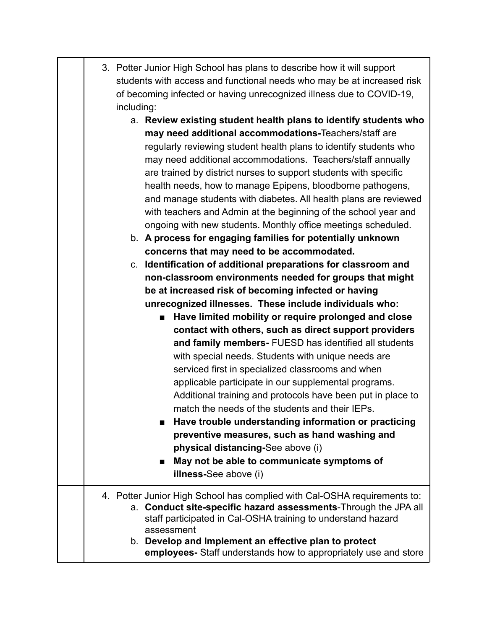|  | 3. Potter Junior High School has plans to describe how it will support |
|--|------------------------------------------------------------------------|
|  | students with access and functional needs who may be at increased risk |
|  | of becoming infected or having unrecognized illness due to COVID-19,   |
|  | including:                                                             |

- a. **Review existing student health plans to identify students who may need additional accommodations-**Teachers/staff are regularly reviewing student health plans to identify students who may need additional accommodations. Teachers/staff annually are trained by district nurses to support students with specific health needs, how to manage Epipens, bloodborne pathogens, and manage students with diabetes. All health plans are reviewed with teachers and Admin at the beginning of the school year and ongoing with new students. Monthly office meetings scheduled.
- b. **A process for engaging families for potentially unknown concerns that may need to be accommodated.**

c. **Identification of additional preparations for classroom and non-classroom environments needed for groups that might be at increased risk of becoming infected or having unrecognized illnesses. These include individuals who:**

> ■ **Have limited mobility or require prolonged and close contact with others, such as direct support providers and family members-** FUESD has identified all students with special needs. Students with unique needs are serviced first in specialized classrooms and when applicable participate in our supplemental programs. Additional training and protocols have been put in place to match the needs of the students and their IEPs.

> **■ Have trouble understanding information or practicing preventive measures, such as hand washing and physical distancing-**See above (i)

■ May not be able to communicate symptoms of **illness-**See above (i)

#### 4. Potter Junior High School has complied with Cal-OSHA requirements to: a. **Conduct site-specific hazard assessments**-Through the JPA all staff participated in Cal-OSHA training to understand hazard assessment b. **Develop and Implement an effective plan to protect employees-** Staff understands how to appropriately use and store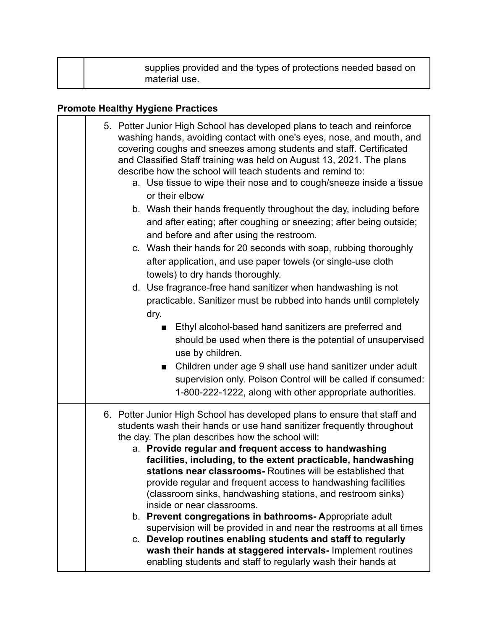| supplies provided and the types of protections needed based on<br>material use. |  |
|---------------------------------------------------------------------------------|--|
|---------------------------------------------------------------------------------|--|

# **Promote Healthy Hygiene Practices**

| 5. Potter Junior High School has developed plans to teach and reinforce<br>washing hands, avoiding contact with one's eyes, nose, and mouth, and<br>covering coughs and sneezes among students and staff. Certificated<br>and Classified Staff training was held on August 13, 2021. The plans<br>describe how the school will teach students and remind to:<br>a. Use tissue to wipe their nose and to cough/sneeze inside a tissue<br>or their elbow<br>b. Wash their hands frequently throughout the day, including before<br>and after eating; after coughing or sneezing; after being outside;<br>and before and after using the restroom.<br>c. Wash their hands for 20 seconds with soap, rubbing thoroughly<br>after application, and use paper towels (or single-use cloth<br>towels) to dry hands thoroughly.<br>d. Use fragrance-free hand sanitizer when handwashing is not<br>practicable. Sanitizer must be rubbed into hands until completely |
|--------------------------------------------------------------------------------------------------------------------------------------------------------------------------------------------------------------------------------------------------------------------------------------------------------------------------------------------------------------------------------------------------------------------------------------------------------------------------------------------------------------------------------------------------------------------------------------------------------------------------------------------------------------------------------------------------------------------------------------------------------------------------------------------------------------------------------------------------------------------------------------------------------------------------------------------------------------|
| dry.<br>Ethyl alcohol-based hand sanitizers are preferred and<br>should be used when there is the potential of unsupervised<br>use by children.<br>Children under age 9 shall use hand sanitizer under adult<br>supervision only. Poison Control will be called if consumed:<br>1-800-222-1222, along with other appropriate authorities.                                                                                                                                                                                                                                                                                                                                                                                                                                                                                                                                                                                                                    |
| 6. Potter Junior High School has developed plans to ensure that staff and<br>students wash their hands or use hand sanitizer frequently throughout<br>the day. The plan describes how the school will:<br>a. Provide regular and frequent access to handwashing<br>facilities, including, to the extent practicable, handwashing<br>stations near classrooms- Routines will be established that<br>provide regular and frequent access to handwashing facilities<br>(classroom sinks, handwashing stations, and restroom sinks)<br>inside or near classrooms.<br>b. Prevent congregations in bathrooms-Appropriate adult<br>supervision will be provided in and near the restrooms at all times<br>c. Develop routines enabling students and staff to regularly<br>wash their hands at staggered intervals- Implement routines<br>enabling students and staff to regularly wash their hands at                                                               |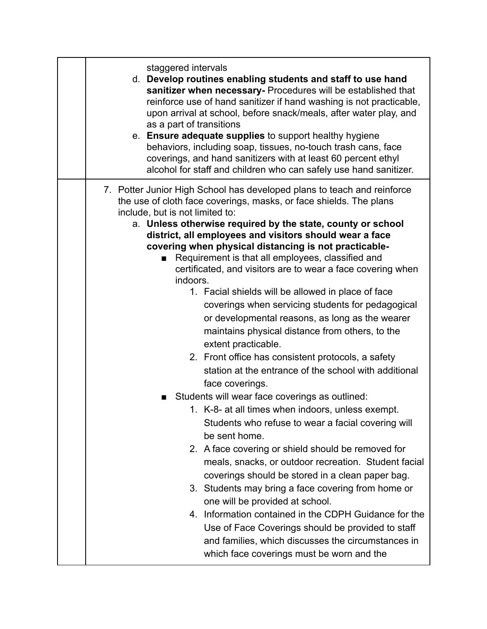| staggered intervals<br>d. Develop routines enabling students and staff to use hand<br>sanitizer when necessary- Procedures will be established that<br>reinforce use of hand sanitizer if hand washing is not practicable,<br>upon arrival at school, before snack/meals, after water play, and<br>as a part of transitions<br>e. Ensure adequate supplies to support healthy hygiene<br>behaviors, including soap, tissues, no-touch trash cans, face<br>coverings, and hand sanitizers with at least 60 percent ethyl<br>alcohol for staff and children who can safely use hand sanitizer.                                                                                                                                                                                                                                                                                                                                                                                                                                                                                                                                                                                                                                                                                                                                                                                                                                                                                                                                                              |
|-----------------------------------------------------------------------------------------------------------------------------------------------------------------------------------------------------------------------------------------------------------------------------------------------------------------------------------------------------------------------------------------------------------------------------------------------------------------------------------------------------------------------------------------------------------------------------------------------------------------------------------------------------------------------------------------------------------------------------------------------------------------------------------------------------------------------------------------------------------------------------------------------------------------------------------------------------------------------------------------------------------------------------------------------------------------------------------------------------------------------------------------------------------------------------------------------------------------------------------------------------------------------------------------------------------------------------------------------------------------------------------------------------------------------------------------------------------------------------------------------------------------------------------------------------------|
| 7. Potter Junior High School has developed plans to teach and reinforce<br>the use of cloth face coverings, masks, or face shields. The plans<br>include, but is not limited to:<br>a. Unless otherwise required by the state, county or school<br>district, all employees and visitors should wear a face<br>covering when physical distancing is not practicable-<br>Requirement is that all employees, classified and<br>$\blacksquare$<br>certificated, and visitors are to wear a face covering when<br>indoors.<br>1. Facial shields will be allowed in place of face<br>coverings when servicing students for pedagogical<br>or developmental reasons, as long as the wearer<br>maintains physical distance from others, to the<br>extent practicable.<br>2. Front office has consistent protocols, a safety<br>station at the entrance of the school with additional<br>face coverings.<br>Students will wear face coverings as outlined:<br>1. K-8- at all times when indoors, unless exempt.<br>Students who refuse to wear a facial covering will<br>be sent home.<br>2. A face covering or shield should be removed for<br>meals, snacks, or outdoor recreation. Student facial<br>coverings should be stored in a clean paper bag.<br>3. Students may bring a face covering from home or<br>one will be provided at school.<br>4. Information contained in the CDPH Guidance for the<br>Use of Face Coverings should be provided to staff<br>and families, which discusses the circumstances in<br>which face coverings must be worn and the |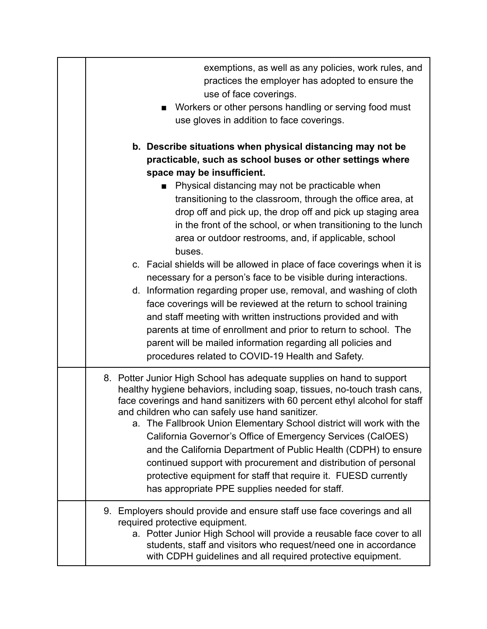| exemptions, as well as any policies, work rules, and<br>practices the employer has adopted to ensure the<br>use of face coverings.<br>Workers or other persons handling or serving food must<br>$\blacksquare$<br>use gloves in addition to face coverings.                                                                                                                                                                                                                                                                                                                                                                                                                                                                                                                                                                           |
|---------------------------------------------------------------------------------------------------------------------------------------------------------------------------------------------------------------------------------------------------------------------------------------------------------------------------------------------------------------------------------------------------------------------------------------------------------------------------------------------------------------------------------------------------------------------------------------------------------------------------------------------------------------------------------------------------------------------------------------------------------------------------------------------------------------------------------------|
| b. Describe situations when physical distancing may not be<br>practicable, such as school buses or other settings where<br>space may be insufficient.<br>Physical distancing may not be practicable when<br>transitioning to the classroom, through the office area, at<br>drop off and pick up, the drop off and pick up staging area<br>in the front of the school, or when transitioning to the lunch<br>area or outdoor restrooms, and, if applicable, school<br>buses.<br>c. Facial shields will be allowed in place of face coverings when it is<br>necessary for a person's face to be visible during interactions.<br>d. Information regarding proper use, removal, and washing of cloth<br>face coverings will be reviewed at the return to school training<br>and staff meeting with written instructions provided and with |
| parents at time of enrollment and prior to return to school. The<br>parent will be mailed information regarding all policies and<br>procedures related to COVID-19 Health and Safety.                                                                                                                                                                                                                                                                                                                                                                                                                                                                                                                                                                                                                                                 |
| 8. Potter Junior High School has adequate supplies on hand to support<br>healthy hygiene behaviors, including soap, tissues, no-touch trash cans,<br>face coverings and hand sanitizers with 60 percent ethyl alcohol for staff<br>and children who can safely use hand sanitizer.<br>a. The Fallbrook Union Elementary School district will work with the<br>California Governor's Office of Emergency Services (CalOES)<br>and the California Department of Public Health (CDPH) to ensure<br>continued support with procurement and distribution of personal<br>protective equipment for staff that require it. FUESD currently<br>has appropriate PPE supplies needed for staff.                                                                                                                                                  |
| 9. Employers should provide and ensure staff use face coverings and all<br>required protective equipment.<br>a. Potter Junior High School will provide a reusable face cover to all<br>students, staff and visitors who request/need one in accordance<br>with CDPH guidelines and all required protective equipment.                                                                                                                                                                                                                                                                                                                                                                                                                                                                                                                 |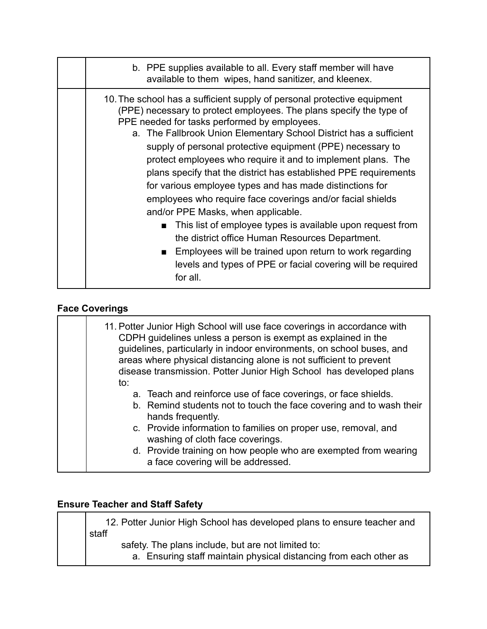| b. PPE supplies available to all. Every staff member will have<br>available to them wipes, hand sanitizer, and kleenex.                                                                                                                                                                                                                                                                                                                                                                                                                                                                                                                                                                                                                                                                                                                                                                              |
|------------------------------------------------------------------------------------------------------------------------------------------------------------------------------------------------------------------------------------------------------------------------------------------------------------------------------------------------------------------------------------------------------------------------------------------------------------------------------------------------------------------------------------------------------------------------------------------------------------------------------------------------------------------------------------------------------------------------------------------------------------------------------------------------------------------------------------------------------------------------------------------------------|
| 10. The school has a sufficient supply of personal protective equipment<br>(PPE) necessary to protect employees. The plans specify the type of<br>PPE needed for tasks performed by employees.<br>a. The Fallbrook Union Elementary School District has a sufficient<br>supply of personal protective equipment (PPE) necessary to<br>protect employees who require it and to implement plans. The<br>plans specify that the district has established PPE requirements<br>for various employee types and has made distinctions for<br>employees who require face coverings and/or facial shields<br>and/or PPE Masks, when applicable.<br>This list of employee types is available upon request from<br>the district office Human Resources Department.<br>Employees will be trained upon return to work regarding<br>. .<br>levels and types of PPE or facial covering will be required<br>for all. |

# **Face Coverings**

| to: | 11. Potter Junior High School will use face coverings in accordance with<br>CDPH guidelines unless a person is exempt as explained in the<br>guidelines, particularly in indoor environments, on school buses, and<br>areas where physical distancing alone is not sufficient to prevent<br>disease transmission. Potter Junior High School has developed plans           |
|-----|---------------------------------------------------------------------------------------------------------------------------------------------------------------------------------------------------------------------------------------------------------------------------------------------------------------------------------------------------------------------------|
|     | a. Teach and reinforce use of face coverings, or face shields.<br>b. Remind students not to touch the face covering and to wash their<br>hands frequently.<br>c. Provide information to families on proper use, removal, and<br>washing of cloth face coverings.<br>d. Provide training on how people who are exempted from wearing<br>a face covering will be addressed. |

#### **Ensure Teacher and Staff Safety**

12. Potter Junior High School has developed plans to ensure teacher and staff safety. The plans include, but are not limited to: a. Ensuring staff maintain physical distancing from each other as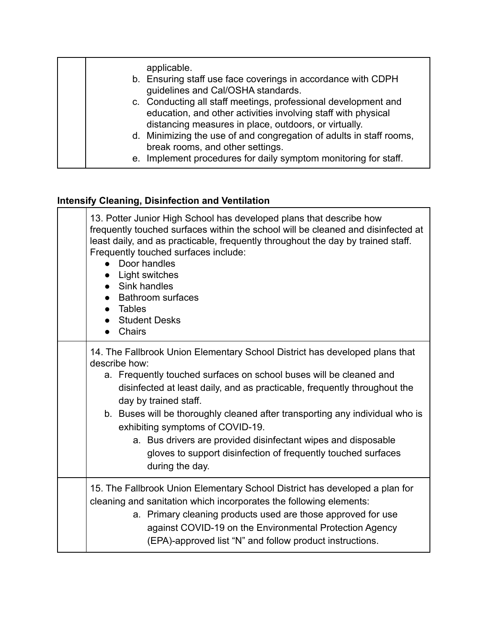| applicable.<br>b. Ensuring staff use face coverings in accordance with CDPH<br>guidelines and Cal/OSHA standards.<br>c. Conducting all staff meetings, professional development and<br>education, and other activities involving staff with physical<br>distancing measures in place, outdoors, or virtually.<br>d. Minimizing the use of and congregation of adults in staff rooms, |
|--------------------------------------------------------------------------------------------------------------------------------------------------------------------------------------------------------------------------------------------------------------------------------------------------------------------------------------------------------------------------------------|
| break rooms, and other settings.<br>e. Implement procedures for daily symptom monitoring for staff.                                                                                                                                                                                                                                                                                  |

# **Intensify Cleaning, Disinfection and Ventilation**

| 13. Potter Junior High School has developed plans that describe how<br>frequently touched surfaces within the school will be cleaned and disinfected at<br>least daily, and as practicable, frequently throughout the day by trained staff.<br>Frequently touched surfaces include:<br>Door handles<br>Light switches<br>• Sink handles<br><b>Bathroom surfaces</b><br><b>Tables</b><br><b>Student Desks</b><br>Chairs                                                                                                                            |
|---------------------------------------------------------------------------------------------------------------------------------------------------------------------------------------------------------------------------------------------------------------------------------------------------------------------------------------------------------------------------------------------------------------------------------------------------------------------------------------------------------------------------------------------------|
| 14. The Fallbrook Union Elementary School District has developed plans that<br>describe how:<br>a. Frequently touched surfaces on school buses will be cleaned and<br>disinfected at least daily, and as practicable, frequently throughout the<br>day by trained staff.<br>b. Buses will be thoroughly cleaned after transporting any individual who is<br>exhibiting symptoms of COVID-19.<br>a. Bus drivers are provided disinfectant wipes and disposable<br>gloves to support disinfection of frequently touched surfaces<br>during the day. |
| 15. The Fallbrook Union Elementary School District has developed a plan for<br>cleaning and sanitation which incorporates the following elements:<br>a. Primary cleaning products used are those approved for use<br>against COVID-19 on the Environmental Protection Agency<br>(EPA)-approved list "N" and follow product instructions.                                                                                                                                                                                                          |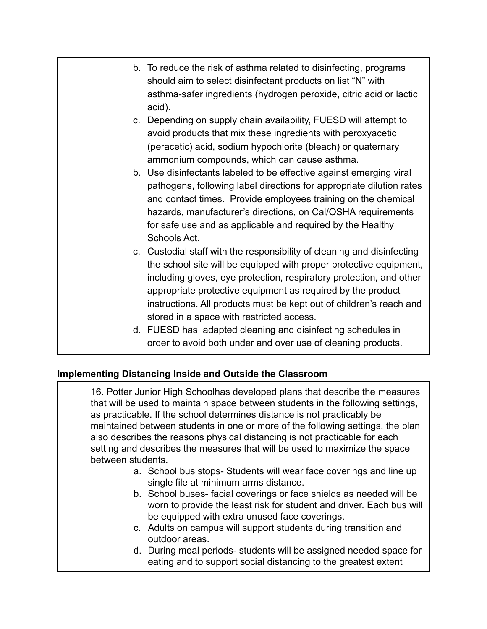| b. To reduce the risk of asthma related to disinfecting, programs<br>should aim to select disinfectant products on list "N" with<br>asthma-safer ingredients (hydrogen peroxide, citric acid or lactic<br>acid).                                                                                                                                                                                        |
|---------------------------------------------------------------------------------------------------------------------------------------------------------------------------------------------------------------------------------------------------------------------------------------------------------------------------------------------------------------------------------------------------------|
| c. Depending on supply chain availability, FUESD will attempt to<br>avoid products that mix these ingredients with peroxyacetic<br>(peracetic) acid, sodium hypochlorite (bleach) or quaternary<br>ammonium compounds, which can cause asthma.                                                                                                                                                          |
| b. Use disinfectants labeled to be effective against emerging viral<br>pathogens, following label directions for appropriate dilution rates<br>and contact times. Provide employees training on the chemical<br>hazards, manufacturer's directions, on Cal/OSHA requirements<br>for safe use and as applicable and required by the Healthy<br>Schools Act.                                              |
| c. Custodial staff with the responsibility of cleaning and disinfecting<br>the school site will be equipped with proper protective equipment,<br>including gloves, eye protection, respiratory protection, and other<br>appropriate protective equipment as required by the product<br>instructions. All products must be kept out of children's reach and<br>stored in a space with restricted access. |
| d. FUESD has adapted cleaning and disinfecting schedules in<br>order to avoid both under and over use of cleaning products.                                                                                                                                                                                                                                                                             |

#### **Implementing Distancing Inside and Outside the Classroom**

16. Potter Junior High Schoolhas developed plans that describe the measures that will be used to maintain space between students in the following settings, as practicable. If the school determines distance is not practicably be maintained between students in one or more of the following settings, the plan also describes the reasons physical distancing is not practicable for each setting and describes the measures that will be used to maximize the space between students. a. School bus stops- Students will wear face coverings and line up single file at minimum arms distance. b. School buses- facial coverings or face shields as needed will be worn to provide the least risk for student and driver. Each bus will be equipped with extra unused face coverings. c. Adults on campus will support students during transition and outdoor areas. d. During meal periods- students will be assigned needed space for eating and to support social distancing to the greatest extent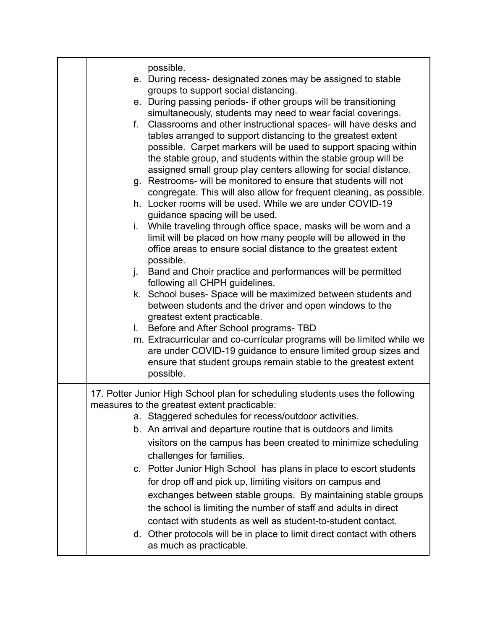| possible.<br>e. During recess- designated zones may be assigned to stable<br>groups to support social distancing.<br>e. During passing periods- if other groups will be transitioning<br>simultaneously, students may need to wear facial coverings.<br>Classrooms and other instructional spaces- will have desks and<br>f.<br>tables arranged to support distancing to the greatest extent<br>possible. Carpet markers will be used to support spacing within<br>the stable group, and students within the stable group will be<br>assigned small group play centers allowing for social distance.<br>g. Restrooms- will be monitored to ensure that students will not<br>congregate. This will also allow for frequent cleaning, as possible.<br>h. Locker rooms will be used. While we are under COVID-19<br>guidance spacing will be used.<br>i. While traveling through office space, masks will be worn and a<br>limit will be placed on how many people will be allowed in the<br>office areas to ensure social distance to the greatest extent<br>possible.<br>Band and Choir practice and performances will be permitted<br>j.<br>following all CHPH guidelines.<br>k. School buses-Space will be maximized between students and<br>between students and the driver and open windows to the<br>greatest extent practicable.<br>I. Before and After School programs- TBD<br>m. Extracurricular and co-curricular programs will be limited while we<br>are under COVID-19 guidance to ensure limited group sizes and<br>ensure that student groups remain stable to the greatest extent<br>possible. |
|--------------------------------------------------------------------------------------------------------------------------------------------------------------------------------------------------------------------------------------------------------------------------------------------------------------------------------------------------------------------------------------------------------------------------------------------------------------------------------------------------------------------------------------------------------------------------------------------------------------------------------------------------------------------------------------------------------------------------------------------------------------------------------------------------------------------------------------------------------------------------------------------------------------------------------------------------------------------------------------------------------------------------------------------------------------------------------------------------------------------------------------------------------------------------------------------------------------------------------------------------------------------------------------------------------------------------------------------------------------------------------------------------------------------------------------------------------------------------------------------------------------------------------------------------------------------------------------------------------------|
| 17. Potter Junior High School plan for scheduling students uses the following<br>measures to the greatest extent practicable:<br>a. Staggered schedules for recess/outdoor activities.<br>b. An arrival and departure routine that is outdoors and limits<br>visitors on the campus has been created to minimize scheduling<br>challenges for families.<br>c. Potter Junior High School has plans in place to escort students<br>for drop off and pick up, limiting visitors on campus and<br>exchanges between stable groups. By maintaining stable groups<br>the school is limiting the number of staff and adults in direct<br>contact with students as well as student-to-student contact.<br>d. Other protocols will be in place to limit direct contact with others<br>as much as practicable.                                                                                                                                                                                                                                                                                                                                                                                                                                                                                                                                                                                                                                                                                                                                                                                                         |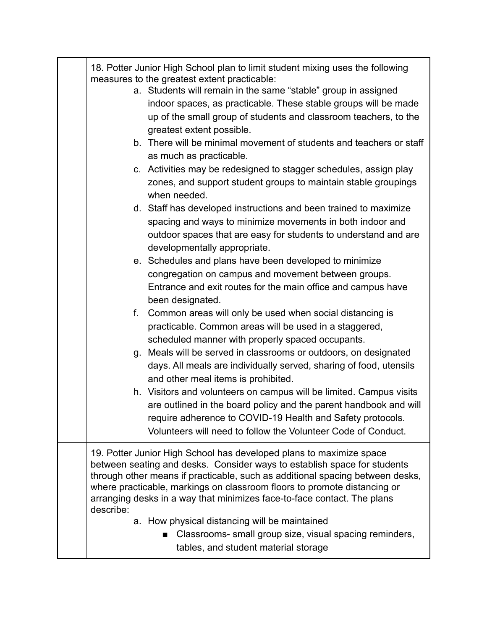| 18. Potter Junior High School plan to limit student mixing uses the following<br>measures to the greatest extent practicable:<br>a. Students will remain in the same "stable" group in assigned<br>indoor spaces, as practicable. These stable groups will be made<br>up of the small group of students and classroom teachers, to the<br>greatest extent possible.<br>b. There will be minimal movement of students and teachers or staff<br>as much as practicable.<br>c. Activities may be redesigned to stagger schedules, assign play<br>zones, and support student groups to maintain stable groupings<br>when needed.<br>d. Staff has developed instructions and been trained to maximize<br>spacing and ways to minimize movements in both indoor and<br>outdoor spaces that are easy for students to understand and are<br>developmentally appropriate.<br>e. Schedules and plans have been developed to minimize<br>congregation on campus and movement between groups.<br>Entrance and exit routes for the main office and campus have<br>been designated.<br>Common areas will only be used when social distancing is<br>f.<br>practicable. Common areas will be used in a staggered,<br>scheduled manner with properly spaced occupants.<br>g. Meals will be served in classrooms or outdoors, on designated<br>days. All meals are individually served, sharing of food, utensils<br>and other meal items is prohibited.<br>h. Visitors and volunteers on campus will be limited. Campus visits<br>are outlined in the board policy and the parent handbook and will |
|------------------------------------------------------------------------------------------------------------------------------------------------------------------------------------------------------------------------------------------------------------------------------------------------------------------------------------------------------------------------------------------------------------------------------------------------------------------------------------------------------------------------------------------------------------------------------------------------------------------------------------------------------------------------------------------------------------------------------------------------------------------------------------------------------------------------------------------------------------------------------------------------------------------------------------------------------------------------------------------------------------------------------------------------------------------------------------------------------------------------------------------------------------------------------------------------------------------------------------------------------------------------------------------------------------------------------------------------------------------------------------------------------------------------------------------------------------------------------------------------------------------------------------------------------------------------------------|
| require adherence to COVID-19 Health and Safety protocols.<br>Volunteers will need to follow the Volunteer Code of Conduct.                                                                                                                                                                                                                                                                                                                                                                                                                                                                                                                                                                                                                                                                                                                                                                                                                                                                                                                                                                                                                                                                                                                                                                                                                                                                                                                                                                                                                                                        |
| 19. Potter Junior High School has developed plans to maximize space<br>between seating and desks. Consider ways to establish space for students<br>through other means if practicable, such as additional spacing between desks,<br>where practicable, markings on classroom floors to promote distancing or<br>arranging desks in a way that minimizes face-to-face contact. The plans<br>describe:<br>a. How physical distancing will be maintained<br>Classrooms- small group size, visual spacing reminders,<br>tables, and student material storage                                                                                                                                                                                                                                                                                                                                                                                                                                                                                                                                                                                                                                                                                                                                                                                                                                                                                                                                                                                                                           |
|                                                                                                                                                                                                                                                                                                                                                                                                                                                                                                                                                                                                                                                                                                                                                                                                                                                                                                                                                                                                                                                                                                                                                                                                                                                                                                                                                                                                                                                                                                                                                                                    |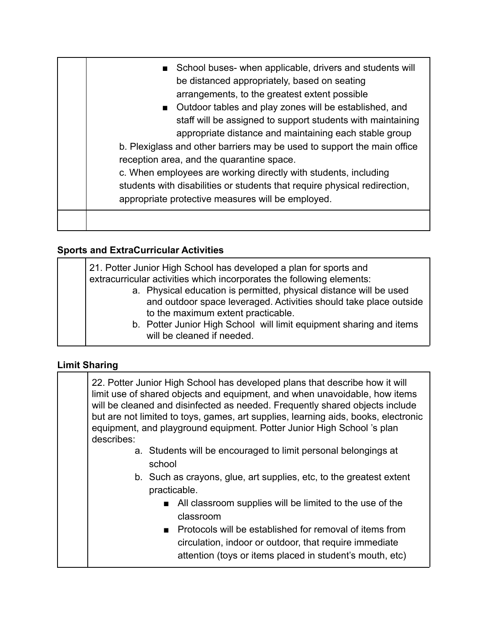| School buses- when applicable, drivers and students will<br>be distanced appropriately, based on seating<br>arrangements, to the greatest extent possible<br>■ Outdoor tables and play zones will be established, and<br>staff will be assigned to support students with maintaining<br>appropriate distance and maintaining each stable group<br>b. Plexiglass and other barriers may be used to support the main office<br>reception area, and the quarantine space.<br>c. When employees are working directly with students, including<br>students with disabilities or students that require physical redirection,<br>appropriate protective measures will be employed. |
|-----------------------------------------------------------------------------------------------------------------------------------------------------------------------------------------------------------------------------------------------------------------------------------------------------------------------------------------------------------------------------------------------------------------------------------------------------------------------------------------------------------------------------------------------------------------------------------------------------------------------------------------------------------------------------|
|                                                                                                                                                                                                                                                                                                                                                                                                                                                                                                                                                                                                                                                                             |
|                                                                                                                                                                                                                                                                                                                                                                                                                                                                                                                                                                                                                                                                             |

#### **Sports and ExtraCurricular Activities**

| 21. Potter Junior High School has developed a plan for sports and<br>extracurricular activities which incorporates the following elements:<br>a. Physical education is permitted, physical distance will be used<br>and outdoor space leveraged. Activities should take place outside<br>to the maximum extent practicable. |
|-----------------------------------------------------------------------------------------------------------------------------------------------------------------------------------------------------------------------------------------------------------------------------------------------------------------------------|
| b. Potter Junior High School will limit equipment sharing and items<br>will be cleaned if needed.                                                                                                                                                                                                                           |

#### **Limit Sharing**

22. Potter Junior High School has developed plans that describe how it will limit use of shared objects and equipment, and when unavoidable, how items will be cleaned and disinfected as needed. Frequently shared objects include but are not limited to toys, games, art supplies, learning aids, books, electronic equipment, and playground equipment. Potter Junior High School 's plan describes: a. Students will be encouraged to limit personal belongings at school b. Such as crayons, glue, art supplies, etc, to the greatest extent practicable.

- All classroom supplies will be limited to the use of the classroom
- Protocols will be established for removal of items from circulation, indoor or outdoor, that require immediate attention (toys or items placed in student's mouth, etc)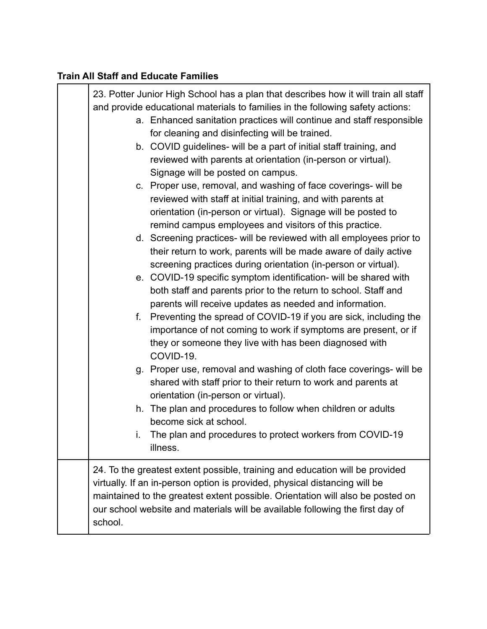# **Train All Staff and Educate Families**

| 23. Potter Junior High School has a plan that describes how it will train all staff<br>and provide educational materials to families in the following safety actions: |                                                                                                                                                                                                                                                                                                                               |  |
|-----------------------------------------------------------------------------------------------------------------------------------------------------------------------|-------------------------------------------------------------------------------------------------------------------------------------------------------------------------------------------------------------------------------------------------------------------------------------------------------------------------------|--|
|                                                                                                                                                                       | a. Enhanced sanitation practices will continue and staff responsible<br>for cleaning and disinfecting will be trained.                                                                                                                                                                                                        |  |
|                                                                                                                                                                       | b. COVID guidelines- will be a part of initial staff training, and<br>reviewed with parents at orientation (in-person or virtual).<br>Signage will be posted on campus.                                                                                                                                                       |  |
|                                                                                                                                                                       | c. Proper use, removal, and washing of face coverings- will be<br>reviewed with staff at initial training, and with parents at<br>orientation (in-person or virtual). Signage will be posted to<br>remind campus employees and visitors of this practice.                                                                     |  |
|                                                                                                                                                                       | d. Screening practices- will be reviewed with all employees prior to<br>their return to work, parents will be made aware of daily active<br>screening practices during orientation (in-person or virtual).                                                                                                                    |  |
|                                                                                                                                                                       | e. COVID-19 specific symptom identification- will be shared with<br>both staff and parents prior to the return to school. Staff and<br>parents will receive updates as needed and information.                                                                                                                                |  |
| f.                                                                                                                                                                    | Preventing the spread of COVID-19 if you are sick, including the<br>importance of not coming to work if symptoms are present, or if<br>they or someone they live with has been diagnosed with<br>COVID-19.                                                                                                                    |  |
|                                                                                                                                                                       | g. Proper use, removal and washing of cloth face coverings- will be<br>shared with staff prior to their return to work and parents at<br>orientation (in-person or virtual).                                                                                                                                                  |  |
|                                                                                                                                                                       | h. The plan and procedures to follow when children or adults<br>become sick at school.                                                                                                                                                                                                                                        |  |
| i.                                                                                                                                                                    | The plan and procedures to protect workers from COVID-19<br>illness.                                                                                                                                                                                                                                                          |  |
| school.                                                                                                                                                               | 24. To the greatest extent possible, training and education will be provided<br>virtually. If an in-person option is provided, physical distancing will be<br>maintained to the greatest extent possible. Orientation will also be posted on<br>our school website and materials will be available following the first day of |  |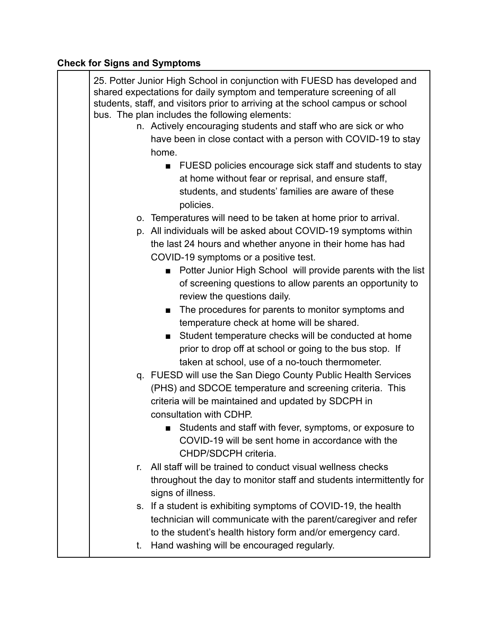# **Check for Signs and Symptoms**

|    | 25. Potter Junior High School in conjunction with FUESD has developed and<br>shared expectations for daily symptom and temperature screening of all<br>students, staff, and visitors prior to arriving at the school campus or school<br>bus. The plan includes the following elements:<br>n. Actively encouraging students and staff who are sick or who<br>have been in close contact with a person with COVID-19 to stay<br>home. |
|----|--------------------------------------------------------------------------------------------------------------------------------------------------------------------------------------------------------------------------------------------------------------------------------------------------------------------------------------------------------------------------------------------------------------------------------------|
|    | FUESD policies encourage sick staff and students to stay<br>$\blacksquare$                                                                                                                                                                                                                                                                                                                                                           |
|    | at home without fear or reprisal, and ensure staff,                                                                                                                                                                                                                                                                                                                                                                                  |
|    |                                                                                                                                                                                                                                                                                                                                                                                                                                      |
|    | students, and students' families are aware of these                                                                                                                                                                                                                                                                                                                                                                                  |
|    | policies.                                                                                                                                                                                                                                                                                                                                                                                                                            |
|    | o. Temperatures will need to be taken at home prior to arrival.                                                                                                                                                                                                                                                                                                                                                                      |
|    | p. All individuals will be asked about COVID-19 symptoms within                                                                                                                                                                                                                                                                                                                                                                      |
|    | the last 24 hours and whether anyone in their home has had                                                                                                                                                                                                                                                                                                                                                                           |
|    | COVID-19 symptoms or a positive test.                                                                                                                                                                                                                                                                                                                                                                                                |
|    | Potter Junior High School will provide parents with the list                                                                                                                                                                                                                                                                                                                                                                         |
|    | of screening questions to allow parents an opportunity to<br>review the questions daily.                                                                                                                                                                                                                                                                                                                                             |
|    | The procedures for parents to monitor symptoms and                                                                                                                                                                                                                                                                                                                                                                                   |
|    | temperature check at home will be shared.                                                                                                                                                                                                                                                                                                                                                                                            |
|    | Student temperature checks will be conducted at home<br>$\blacksquare$                                                                                                                                                                                                                                                                                                                                                               |
|    | prior to drop off at school or going to the bus stop. If                                                                                                                                                                                                                                                                                                                                                                             |
|    | taken at school, use of a no-touch thermometer.                                                                                                                                                                                                                                                                                                                                                                                      |
|    | q. FUESD will use the San Diego County Public Health Services                                                                                                                                                                                                                                                                                                                                                                        |
|    | (PHS) and SDCOE temperature and screening criteria. This                                                                                                                                                                                                                                                                                                                                                                             |
|    | criteria will be maintained and updated by SDCPH in                                                                                                                                                                                                                                                                                                                                                                                  |
|    | consultation with CDHP.                                                                                                                                                                                                                                                                                                                                                                                                              |
|    | Students and staff with fever, symptoms, or exposure to                                                                                                                                                                                                                                                                                                                                                                              |
|    | COVID-19 will be sent home in accordance with the                                                                                                                                                                                                                                                                                                                                                                                    |
|    | CHDP/SDCPH criteria.                                                                                                                                                                                                                                                                                                                                                                                                                 |
| r. | All staff will be trained to conduct visual wellness checks                                                                                                                                                                                                                                                                                                                                                                          |
|    | throughout the day to monitor staff and students intermittently for                                                                                                                                                                                                                                                                                                                                                                  |
|    | signs of illness.                                                                                                                                                                                                                                                                                                                                                                                                                    |
|    | s. If a student is exhibiting symptoms of COVID-19, the health                                                                                                                                                                                                                                                                                                                                                                       |
|    | technician will communicate with the parent/caregiver and refer                                                                                                                                                                                                                                                                                                                                                                      |
|    | to the student's health history form and/or emergency card.                                                                                                                                                                                                                                                                                                                                                                          |
| t. | Hand washing will be encouraged regularly.                                                                                                                                                                                                                                                                                                                                                                                           |
|    |                                                                                                                                                                                                                                                                                                                                                                                                                                      |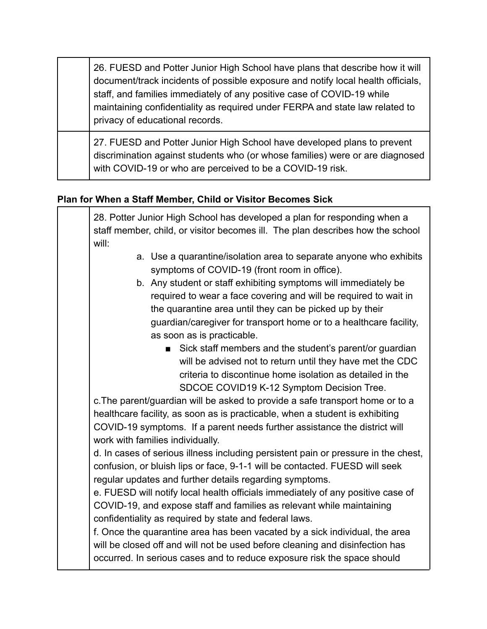26. FUESD and Potter Junior High School have plans that describe how it will document/track incidents of possible exposure and notify local health officials, staff, and families immediately of any positive case of COVID-19 while maintaining confidentiality as required under FERPA and state law related to privacy of educational records.

27. FUESD and Potter Junior High School have developed plans to prevent discrimination against students who (or whose families) were or are diagnosed with COVID-19 or who are perceived to be a COVID-19 risk.

### **Plan for When a Staff Member, Child or Visitor Becomes Sick**

28. Potter Junior High School has developed a plan for responding when a staff member, child, or visitor becomes ill. The plan describes how the school will:

- a. Use a quarantine/isolation area to separate anyone who exhibits symptoms of COVID-19 (front room in office).
- b. Any student or staff exhibiting symptoms will immediately be required to wear a face covering and will be required to wait in the quarantine area until they can be picked up by their guardian/caregiver for transport home or to a healthcare facility, as soon as is practicable.
	- Sick staff members and the student's parent/or guardian will be advised not to return until they have met the CDC criteria to discontinue home isolation as detailed in the SDCOE COVID19 K-12 Symptom Decision Tree.

c.The parent/guardian will be asked to provide a safe transport home or to a healthcare facility, as soon as is practicable, when a student is exhibiting COVID-19 symptoms. If a parent needs further assistance the district will work with families individually.

d. In cases of serious illness including persistent pain or pressure in the chest, confusion, or bluish lips or face, 9-1-1 will be contacted. FUESD will seek regular updates and further details regarding symptoms.

e. FUESD will notify local health officials immediately of any positive case of COVID-19, and expose staff and families as relevant while maintaining confidentiality as required by state and federal laws.

f. Once the quarantine area has been vacated by a sick individual, the area will be closed off and will not be used before cleaning and disinfection has occurred. In serious cases and to reduce exposure risk the space should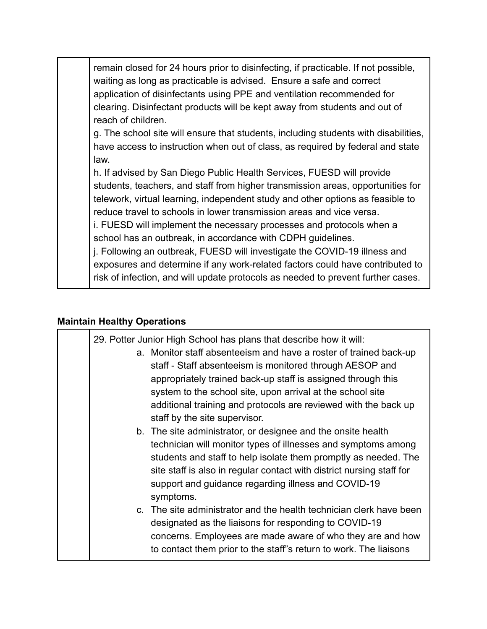remain closed for 24 hours prior to disinfecting, if practicable. If not possible, waiting as long as practicable is advised. Ensure a safe and correct application of disinfectants using PPE and ventilation recommended for clearing. Disinfectant products will be kept away from students and out of reach of children.

g. The school site will ensure that students, including students with disabilities, have access to instruction when out of class, as required by federal and state law.

h. If advised by San Diego Public Health Services, FUESD will provide students, teachers, and staff from higher transmission areas, opportunities for telework, virtual learning, independent study and other options as feasible to reduce travel to schools in lower transmission areas and vice versa.

i. FUESD will implement the necessary processes and protocols when a school has an outbreak, in accordance with CDPH guidelines.

j. Following an outbreak, FUESD will investigate the COVID-19 illness and exposures and determine if any work-related factors could have contributed to risk of infection, and will update protocols as needed to prevent further cases.

#### **Maintain Healthy Operations**

| 29. Potter Junior High School has plans that describe how it will:<br>a. Monitor staff absenteeism and have a roster of trained back-up<br>staff - Staff absenteeism is monitored through AESOP and<br>appropriately trained back-up staff is assigned through this<br>system to the school site, upon arrival at the school site<br>additional training and protocols are reviewed with the back up<br>staff by the site supervisor. |
|---------------------------------------------------------------------------------------------------------------------------------------------------------------------------------------------------------------------------------------------------------------------------------------------------------------------------------------------------------------------------------------------------------------------------------------|
| b. The site administrator, or designee and the onsite health<br>technician will monitor types of illnesses and symptoms among<br>students and staff to help isolate them promptly as needed. The<br>site staff is also in regular contact with district nursing staff for<br>support and guidance regarding illness and COVID-19<br>symptoms.                                                                                         |
| c. The site administrator and the health technician clerk have been<br>designated as the liaisons for responding to COVID-19<br>concerns. Employees are made aware of who they are and how<br>to contact them prior to the staff"s return to work. The liaisons                                                                                                                                                                       |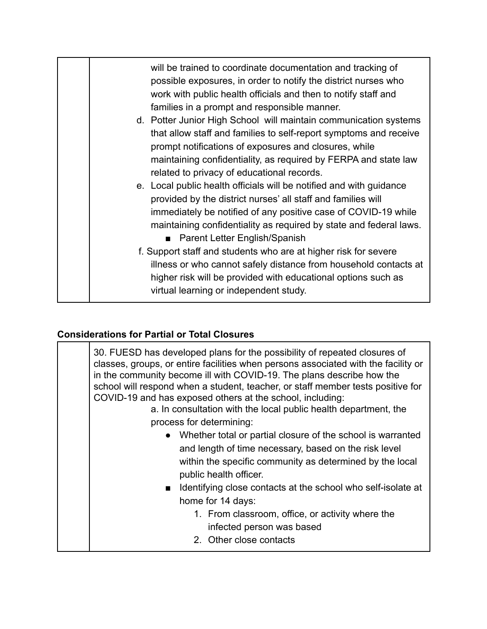| will be trained to coordinate documentation and tracking of<br>possible exposures, in order to notify the district nurses who<br>work with public health officials and then to notify staff and<br>families in a prompt and responsible manner.                                                                                                                                                                                                                                                                        |
|------------------------------------------------------------------------------------------------------------------------------------------------------------------------------------------------------------------------------------------------------------------------------------------------------------------------------------------------------------------------------------------------------------------------------------------------------------------------------------------------------------------------|
| d. Potter Junior High School will maintain communication systems<br>that allow staff and families to self-report symptoms and receive<br>prompt notifications of exposures and closures, while<br>maintaining confidentiality, as required by FERPA and state law<br>related to privacy of educational records.                                                                                                                                                                                                        |
| e. Local public health officials will be notified and with guidance<br>provided by the district nurses' all staff and families will<br>immediately be notified of any positive case of COVID-19 while<br>maintaining confidentiality as required by state and federal laws.<br>■ Parent Letter English/Spanish<br>f. Support staff and students who are at higher risk for severe<br>illness or who cannot safely distance from household contacts at<br>higher risk will be provided with educational options such as |
| virtual learning or independent study.                                                                                                                                                                                                                                                                                                                                                                                                                                                                                 |

# **Considerations for Partial or Total Closures**

| 30. FUESD has developed plans for the possibility of repeated closures of<br>classes, groups, or entire facilities when persons associated with the facility or<br>in the community become ill with COVID-19. The plans describe how the<br>school will respond when a student, teacher, or staff member tests positive for<br>COVID-19 and has exposed others at the school, including:<br>a. In consultation with the local public health department, the<br>process for determining:<br>• Whether total or partial closure of the school is warranted<br>and length of time necessary, based on the risk level<br>within the specific community as determined by the local<br>public health officer.<br>Identifying close contacts at the school who self-isolate at<br>$\blacksquare$<br>home for 14 days:<br>1. From classroom, office, or activity where the<br>infected person was based<br>2. Other close contacts |
|----------------------------------------------------------------------------------------------------------------------------------------------------------------------------------------------------------------------------------------------------------------------------------------------------------------------------------------------------------------------------------------------------------------------------------------------------------------------------------------------------------------------------------------------------------------------------------------------------------------------------------------------------------------------------------------------------------------------------------------------------------------------------------------------------------------------------------------------------------------------------------------------------------------------------|
|                                                                                                                                                                                                                                                                                                                                                                                                                                                                                                                                                                                                                                                                                                                                                                                                                                                                                                                            |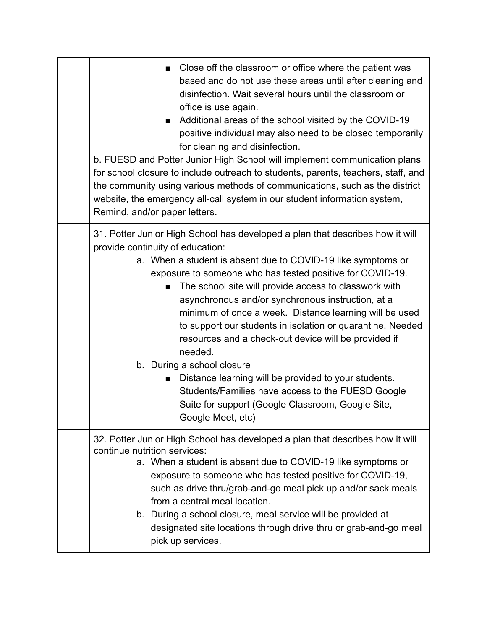| Close off the classroom or office where the patient was<br>based and do not use these areas until after cleaning and<br>disinfection. Wait several hours until the classroom or<br>office is use again.<br>Additional areas of the school visited by the COVID-19<br>positive individual may also need to be closed temporarily<br>for cleaning and disinfection.<br>b. FUESD and Potter Junior High School will implement communication plans<br>for school closure to include outreach to students, parents, teachers, staff, and<br>the community using various methods of communications, such as the district<br>website, the emergency all-call system in our student information system,<br>Remind, and/or paper letters. |
|----------------------------------------------------------------------------------------------------------------------------------------------------------------------------------------------------------------------------------------------------------------------------------------------------------------------------------------------------------------------------------------------------------------------------------------------------------------------------------------------------------------------------------------------------------------------------------------------------------------------------------------------------------------------------------------------------------------------------------|
| 31. Potter Junior High School has developed a plan that describes how it will<br>provide continuity of education:<br>a. When a student is absent due to COVID-19 like symptoms or<br>exposure to someone who has tested positive for COVID-19.<br>The school site will provide access to classwork with<br>asynchronous and/or synchronous instruction, at a<br>minimum of once a week. Distance learning will be used<br>to support our students in isolation or quarantine. Needed<br>resources and a check-out device will be provided if<br>needed.<br>b. During a school closure<br>Distance learning will be provided to your students.<br>$\blacksquare$<br>Students/Families have access to the FUESD Google             |
| Suite for support (Google Classroom, Google Site,<br>Google Meet, etc)                                                                                                                                                                                                                                                                                                                                                                                                                                                                                                                                                                                                                                                           |
| 32. Potter Junior High School has developed a plan that describes how it will<br>continue nutrition services:<br>a. When a student is absent due to COVID-19 like symptoms or<br>exposure to someone who has tested positive for COVID-19,<br>such as drive thru/grab-and-go meal pick up and/or sack meals<br>from a central meal location.<br>b. During a school closure, meal service will be provided at<br>designated site locations through drive thru or grab-and-go meal<br>pick up services.                                                                                                                                                                                                                            |